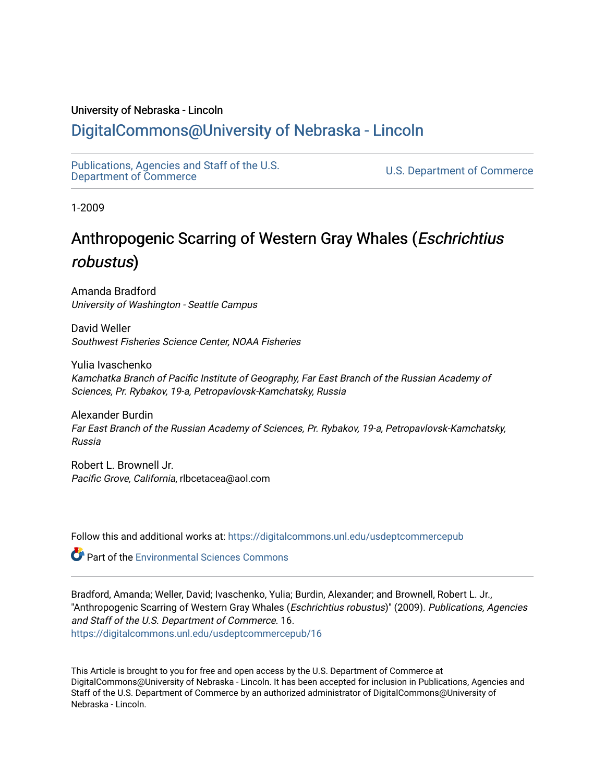#### University of Nebraska - Lincoln

## [DigitalCommons@University of Nebraska - Lincoln](https://digitalcommons.unl.edu/)

[Publications, Agencies and Staff of the U.S.](https://digitalcommons.unl.edu/usdeptcommercepub)

U.S. [Department of Commerce](https://digitalcommons.unl.edu/usdeptcommercepub)

1-2009

## Anthropogenic Scarring of Western Gray Whales (Eschrichtius robustus)

Amanda Bradford University of Washington - Seattle Campus

David Weller Southwest Fisheries Science Center, NOAA Fisheries

Yulia Ivaschenko Kamchatka Branch of Pacific Institute of Geography, Far East Branch of the Russian Academy of Sciences, Pr. Rybakov, 19-a, Petropavlovsk-Kamchatsky, Russia

Alexander Burdin Far East Branch of the Russian Academy of Sciences, Pr. Rybakov, 19-a, Petropavlovsk-Kamchatsky, Russia

Robert L. Brownell Jr. Pacific Grove, California, rlbcetacea@aol.com

Follow this and additional works at: [https://digitalcommons.unl.edu/usdeptcommercepub](https://digitalcommons.unl.edu/usdeptcommercepub?utm_source=digitalcommons.unl.edu%2Fusdeptcommercepub%2F16&utm_medium=PDF&utm_campaign=PDFCoverPages)

**Part of the [Environmental Sciences Commons](http://network.bepress.com/hgg/discipline/167?utm_source=digitalcommons.unl.edu%2Fusdeptcommercepub%2F16&utm_medium=PDF&utm_campaign=PDFCoverPages)** 

Bradford, Amanda; Weller, David; Ivaschenko, Yulia; Burdin, Alexander; and Brownell, Robert L. Jr., "Anthropogenic Scarring of Western Gray Whales (Eschrichtius robustus)" (2009). Publications, Agencies and Staff of the U.S. Department of Commerce. 16. [https://digitalcommons.unl.edu/usdeptcommercepub/16](https://digitalcommons.unl.edu/usdeptcommercepub/16?utm_source=digitalcommons.unl.edu%2Fusdeptcommercepub%2F16&utm_medium=PDF&utm_campaign=PDFCoverPages) 

This Article is brought to you for free and open access by the U.S. Department of Commerce at DigitalCommons@University of Nebraska - Lincoln. It has been accepted for inclusion in Publications, Agencies and Staff of the U.S. Department of Commerce by an authorized administrator of DigitalCommons@University of Nebraska - Lincoln.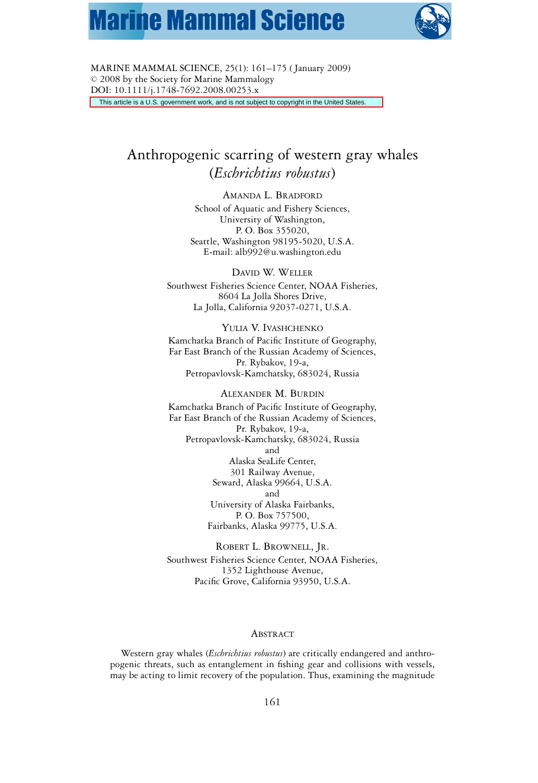# **Marine Mammal Science**



MARINE MAMMAL SCIENCE, 25(1): 161–175 ( January 2009)  $© 2008$  by the Society for Marine Mammalogy DOI: 10.1111/j.1748-7692.2008.00253.x This article is a U.S. government work, and is not subject to copyright in the United States.

### Anthropogenic scarring of western gray whales (*Eschrichtius robustus*)

AMANDA L. BRADFORD School of Aquatic and Fishery Sciences, University of Washington, P. O. Box 355020, Seattle, Washington 98195-5020, U.S.A. E-mail: alb992@u.washington.edu

DAVID W. WELLER Southwest Fisheries Science Center, NOAA Fisheries, 8604 La Jolla Shores Drive, La Jolla, California 92037-0271, U.S.A.

YULIA V. IVASHCHENKO Kamchatka Branch of Pacific Institute of Geography, Far East Branch of the Russian Academy of Sciences, Pr. Rybakov, 19-a, Petropavlovsk-Kamchatsky, 683024, Russia

ALEXANDER M. BURDIN Kamchatka Branch of Pacific Institute of Geography, Far East Branch of the Russian Academy of Sciences, Pr. Rybakov, 19-a, Petropavlovsk-Kamchatsky, 683024, Russia and Alaska SeaLife Center, 301 Railway Avenue, Seward, Alaska 99664, U.S.A. and University of Alaska Fairbanks, P. O. Box 757500, Fairbanks, Alaska 99775, U.S.A.

ROBERT L. BROWNELL, JR. Southwest Fisheries Science Center, NOAA Fisheries, 1352 Lighthouse Avenue, Pacific Grove, California 93950, U.S.A.

#### ABSTRACT

Western gray whales (*Eschrichtius robustus*) are critically endangered and anthropogenic threats, such as entanglement in fishing gear and collisions with vessels, may be acting to limit recovery of the population. Thus, examining the magnitude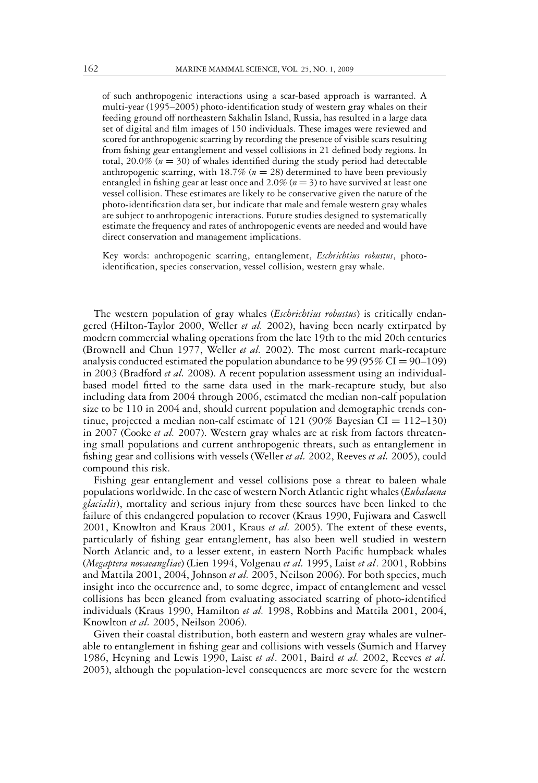of such anthropogenic interactions using a scar-based approach is warranted. A multi-year (1995–2005) photo-identification study of western gray whales on their feeding ground off northeastern Sakhalin Island, Russia, has resulted in a large data set of digital and film images of 150 individuals. These images were reviewed and scored for anthropogenic scarring by recording the presence of visible scars resulting from fishing gear entanglement and vessel collisions in 21 defined body regions. In total,  $20.0\%$  ( $n = 30$ ) of whales identified during the study period had detectable anthropogenic scarring, with  $18.7\%$  ( $n = 28$ ) determined to have been previously entangled in fishing gear at least once and  $2.0\%$  ( $n = 3$ ) to have survived at least one vessel collision. These estimates are likely to be conservative given the nature of the photo-identification data set, but indicate that male and female western gray whales are subject to anthropogenic interactions. Future studies designed to systematically estimate the frequency and rates of anthropogenic events are needed and would have direct conservation and management implications.

Key words: anthropogenic scarring, entanglement, *Eschrichtius robustus*, photoidentification, species conservation, vessel collision, western gray whale.

The western population of gray whales (*Eschrichtius robustus*) is critically endangered (Hilton-Taylor 2000, Weller *et al.* 2002), having been nearly extirpated by modern commercial whaling operations from the late 19th to the mid 20th centuries (Brownell and Chun 1977, Weller *et al.* 2002). The most current mark-recapture analysis conducted estimated the population abundance to be  $99 (95\% CI = 90-109)$ in 2003 (Bradford *et al.* 2008). A recent population assessment using an individualbased model fitted to the same data used in the mark-recapture study, but also including data from 2004 through 2006, estimated the median non-calf population size to be 110 in 2004 and, should current population and demographic trends continue, projected a median non-calf estimate of 121 (90% Bayesian CI =  $112-130$ ) in 2007 (Cooke *et al.* 2007). Western gray whales are at risk from factors threatening small populations and current anthropogenic threats, such as entanglement in fishing gear and collisions with vessels (Weller *et al.* 2002, Reeves *et al.* 2005), could compound this risk.

Fishing gear entanglement and vessel collisions pose a threat to baleen whale populations worldwide. In the case of western North Atlantic right whales (*Eubalaena glacialis*), mortality and serious injury from these sources have been linked to the failure of this endangered population to recover (Kraus 1990, Fujiwara and Caswell 2001, Knowlton and Kraus 2001, Kraus *et al.* 2005). The extent of these events, particularly of fishing gear entanglement, has also been well studied in western North Atlantic and, to a lesser extent, in eastern North Pacific humpback whales (*Megaptera novaeangliae*) (Lien 1994, Volgenau *et al.* 1995, Laist *et al*. 2001, Robbins and Mattila 2001, 2004, Johnson *et al.* 2005, Neilson 2006). For both species, much insight into the occurrence and, to some degree, impact of entanglement and vessel collisions has been gleaned from evaluating associated scarring of photo-identified individuals (Kraus 1990, Hamilton *et al.* 1998, Robbins and Mattila 2001, 2004, Knowlton *et al.* 2005, Neilson 2006).

Given their coastal distribution, both eastern and western gray whales are vulnerable to entanglement in fishing gear and collisions with vessels (Sumich and Harvey 1986, Heyning and Lewis 1990, Laist *et al*. 2001, Baird *et al.* 2002, Reeves *et al.* 2005), although the population-level consequences are more severe for the western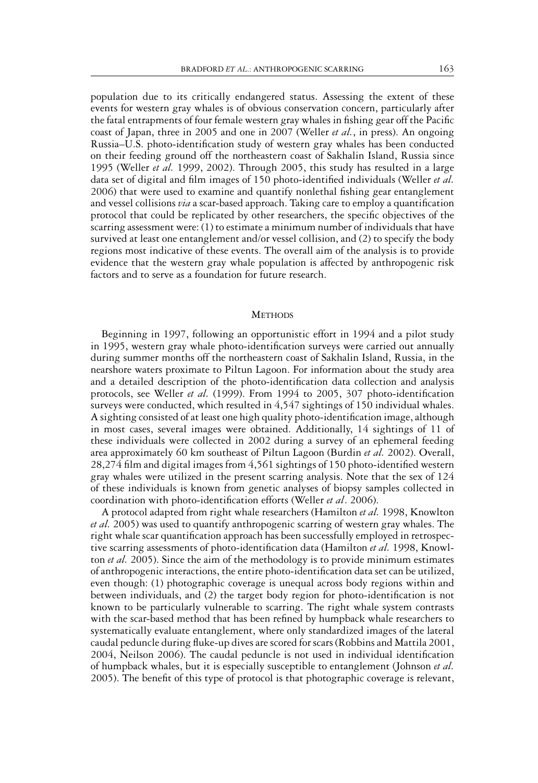population due to its critically endangered status. Assessing the extent of these events for western gray whales is of obvious conservation concern, particularly after the fatal entrapments of four female western gray whales in fishing gear off the Pacific coast of Japan, three in 2005 and one in 2007 (Weller *et al.*, in press). An ongoing Russia–U.S. photo-identification study of western gray whales has been conducted on their feeding ground off the northeastern coast of Sakhalin Island, Russia since 1995 (Weller *et al.* 1999, 2002). Through 2005, this study has resulted in a large data set of digital and film images of 150 photo-identified individuals (Weller *et al.* 2006) that were used to examine and quantify nonlethal fishing gear entanglement and vessel collisions *via* a scar-based approach. Taking care to employ a quantification protocol that could be replicated by other researchers, the specific objectives of the scarring assessment were: (1) to estimate a minimum number of individuals that have survived at least one entanglement and/or vessel collision, and (2) to specify the body regions most indicative of these events. The overall aim of the analysis is to provide evidence that the western gray whale population is affected by anthropogenic risk factors and to serve as a foundation for future research.

#### **METHODS**

Beginning in 1997, following an opportunistic effort in 1994 and a pilot study in 1995, western gray whale photo-identification surveys were carried out annually during summer months off the northeastern coast of Sakhalin Island, Russia, in the nearshore waters proximate to Piltun Lagoon. For information about the study area and a detailed description of the photo-identification data collection and analysis protocols, see Weller *et al.* (1999). From 1994 to 2005, 307 photo-identification surveys were conducted, which resulted in 4,547 sightings of 150 individual whales. A sighting consisted of at least one high quality photo-identification image, although in most cases, several images were obtained. Additionally, 14 sightings of 11 of these individuals were collected in 2002 during a survey of an ephemeral feeding area approximately 60 km southeast of Piltun Lagoon (Burdin *et al.* 2002). Overall, 28,274 film and digital images from 4,561 sightings of 150 photo-identified western gray whales were utilized in the present scarring analysis. Note that the sex of 124 of these individuals is known from genetic analyses of biopsy samples collected in coordination with photo-identification efforts (Weller *et al*. 2006).

A protocol adapted from right whale researchers (Hamilton *et al.* 1998, Knowlton *et al.* 2005) was used to quantify anthropogenic scarring of western gray whales. The right whale scar quantification approach has been successfully employed in retrospective scarring assessments of photo-identification data (Hamilton *et al.* 1998, Knowlton *et al.* 2005). Since the aim of the methodology is to provide minimum estimates of anthropogenic interactions, the entire photo-identification data set can be utilized, even though: (1) photographic coverage is unequal across body regions within and between individuals, and (2) the target body region for photo-identification is not known to be particularly vulnerable to scarring. The right whale system contrasts with the scar-based method that has been refined by humpback whale researchers to systematically evaluate entanglement, where only standardized images of the lateral caudal peduncle during fluke-up dives are scored for scars (Robbins and Mattila 2001, 2004, Neilson 2006). The caudal peduncle is not used in individual identification of humpback whales, but it is especially susceptible to entanglement (Johnson *et al.* 2005). The benefit of this type of protocol is that photographic coverage is relevant,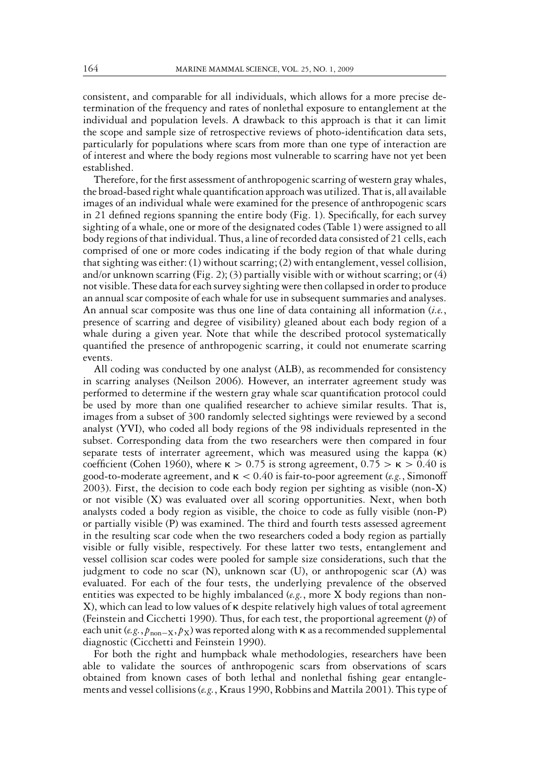consistent, and comparable for all individuals, which allows for a more precise determination of the frequency and rates of nonlethal exposure to entanglement at the individual and population levels. A drawback to this approach is that it can limit the scope and sample size of retrospective reviews of photo-identification data sets, particularly for populations where scars from more than one type of interaction are of interest and where the body regions most vulnerable to scarring have not yet been established.

Therefore, for the first assessment of anthropogenic scarring of western gray whales, the broad-based right whale quantification approach was utilized. That is, all available images of an individual whale were examined for the presence of anthropogenic scars in 21 defined regions spanning the entire body (Fig. 1). Specifically, for each survey sighting of a whale, one or more of the designated codes (Table 1) were assigned to all body regions of that individual. Thus, a line of recorded data consisted of 21 cells, each comprised of one or more codes indicating if the body region of that whale during that sighting was either: (1) without scarring; (2) with entanglement, vessel collision, and/or unknown scarring (Fig. 2); (3) partially visible with or without scarring; or (4) not visible. These data for each survey sighting were then collapsed in order to produce an annual scar composite of each whale for use in subsequent summaries and analyses. An annual scar composite was thus one line of data containing all information (*i.e.*, presence of scarring and degree of visibility) gleaned about each body region of a whale during a given year. Note that while the described protocol systematically quantified the presence of anthropogenic scarring, it could not enumerate scarring events.

All coding was conducted by one analyst (ALB), as recommended for consistency in scarring analyses (Neilson 2006). However, an interrater agreement study was performed to determine if the western gray whale scar quantification protocol could be used by more than one qualified researcher to achieve similar results. That is, images from a subset of 300 randomly selected sightings were reviewed by a second analyst (YVI), who coded all body regions of the 98 individuals represented in the subset. Corresponding data from the two researchers were then compared in four separate tests of interrater agreement, which was measured using the kappa  $(\kappa)$ coefficient (Cohen 1960), where  $\kappa > 0.75$  is strong agreement,  $0.75 > \kappa > 0.40$  is good-to-moderate agreement, and  $\kappa < 0.40$  is fair-to-poor agreement (e.g., Simonoff 2003). First, the decision to code each body region per sighting as visible (non-X) or not visible (X) was evaluated over all scoring opportunities. Next, when both analysts coded a body region as visible, the choice to code as fully visible (non-P) or partially visible (P) was examined. The third and fourth tests assessed agreement in the resulting scar code when the two researchers coded a body region as partially visible or fully visible, respectively. For these latter two tests, entanglement and vessel collision scar codes were pooled for sample size considerations, such that the judgment to code no scar (N), unknown scar (U), or anthropogenic scar (A) was evaluated. For each of the four tests, the underlying prevalence of the observed entities was expected to be highly imbalanced (*e.g.*, more X body regions than non-X), which can lead to low values of  $\kappa$  despite relatively high values of total agreement (Feinstein and Cicchetti 1990). Thus, for each test, the proportional agreement (*p*) of each unit  $(e.g., p_{\text{non}-X}, p_X)$  was reported along with  $\kappa$  as a recommended supplemental diagnostic (Cicchetti and Feinstein 1990).

For both the right and humpback whale methodologies, researchers have been able to validate the sources of anthropogenic scars from observations of scars obtained from known cases of both lethal and nonlethal fishing gear entanglements and vessel collisions (*e.g.*, Kraus 1990, Robbins and Mattila 2001). This type of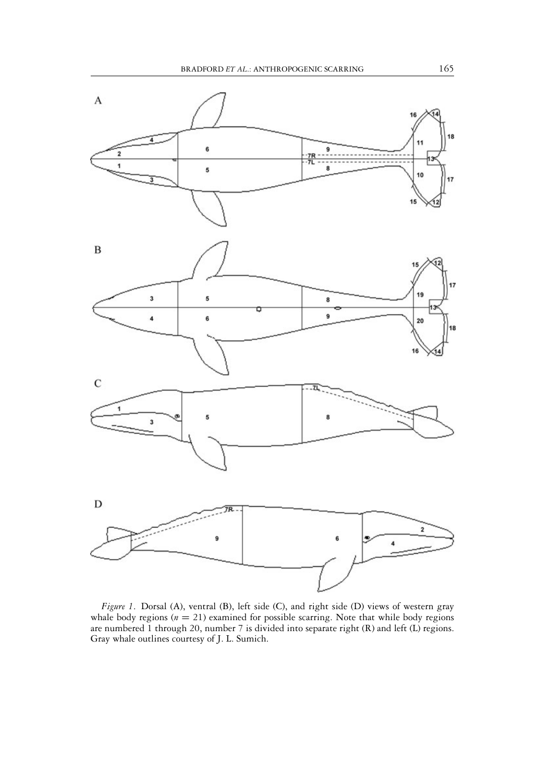

*Figure 1*. Dorsal (A), ventral (B), left side (C), and right side (D) views of western gray whale body regions  $(n = 21)$  examined for possible scarring. Note that while body regions are numbered 1 through 20, number 7 is divided into separate right (R) and left (L) regions. Gray whale outlines courtesy of J. L. Sumich.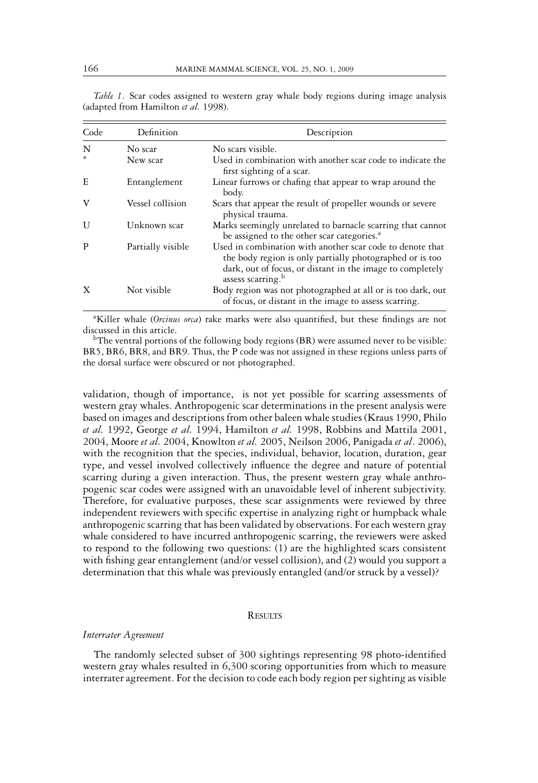| Code | Definition        | Description                                                                                                                                                                                                         |
|------|-------------------|---------------------------------------------------------------------------------------------------------------------------------------------------------------------------------------------------------------------|
| N    | No scar           | No scars visible.                                                                                                                                                                                                   |
|      | New scar          | Used in combination with another scar code to indicate the<br>first sighting of a scar.                                                                                                                             |
| E    | Entanglement      | Linear furrows or chafing that appear to wrap around the<br>body.                                                                                                                                                   |
| V    | Vessel collision  | Scars that appear the result of propeller wounds or severe<br>physical trauma.                                                                                                                                      |
| U    | Unknown scar      | Marks seemingly unrelated to barnacle scarring that cannot<br>be assigned to the other scar categories. <sup>a</sup>                                                                                                |
| P    | Partially visible | Used in combination with another scar code to denote that<br>the body region is only partially photographed or is too<br>dark, out of focus, or distant in the image to completely<br>assess scarring. <sup>b</sup> |
| X    | Not visible       | Body region was not photographed at all or is too dark, out<br>of focus, or distant in the image to assess scarring.                                                                                                |

*Table 1*. Scar codes assigned to western gray whale body regions during image analysis (adapted from Hamilton *et al.* 1998).

a Killer whale (*Orcinus orca*) rake marks were also quantified, but these findings are not discussed in this article.

<sup>b</sup>The ventral portions of the following body regions (BR) were assumed never to be visible: BR5, BR6, BR8, and BR9. Thus, the P code was not assigned in these regions unless parts of the dorsal surface were obscured or not photographed.

validation, though of importance, is not yet possible for scarring assessments of western gray whales. Anthropogenic scar determinations in the present analysis were based on images and descriptions from other baleen whale studies (Kraus 1990, Philo *et al.* 1992, George *et al.* 1994, Hamilton *et al.* 1998, Robbins and Mattila 2001, 2004, Moore *et al.* 2004, Knowlton *et al.* 2005, Neilson 2006, Panigada *et al*. 2006), with the recognition that the species, individual, behavior, location, duration, gear type, and vessel involved collectively influence the degree and nature of potential scarring during a given interaction. Thus, the present western gray whale anthropogenic scar codes were assigned with an unavoidable level of inherent subjectivity. Therefore, for evaluative purposes, these scar assignments were reviewed by three independent reviewers with specific expertise in analyzing right or humpback whale anthropogenic scarring that has been validated by observations. For each western gray whale considered to have incurred anthropogenic scarring, the reviewers were asked to respond to the following two questions: (1) are the highlighted scars consistent with fishing gear entanglement (and/or vessel collision), and (2) would you support a determination that this whale was previously entangled (and/or struck by a vessel)?

#### **RESULTS**

#### *Interrater Agreement*

The randomly selected subset of 300 sightings representing 98 photo-identified western gray whales resulted in 6,300 scoring opportunities from which to measure interrater agreement. For the decision to code each body region per sighting as visible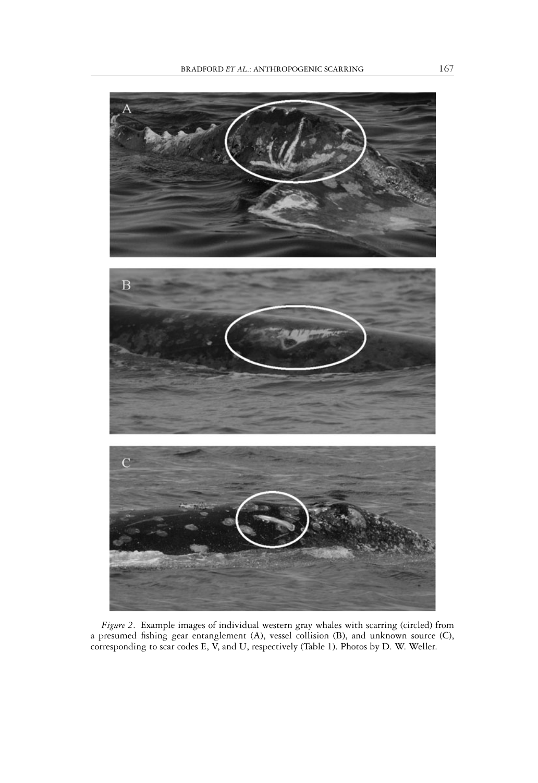

*Figure 2*. Example images of individual western gray whales with scarring (circled) from a presumed fishing gear entanglement (A), vessel collision (B), and unknown source (C), corresponding to scar codes E, V, and U, respectively (Table 1). Photos by D. W. Weller.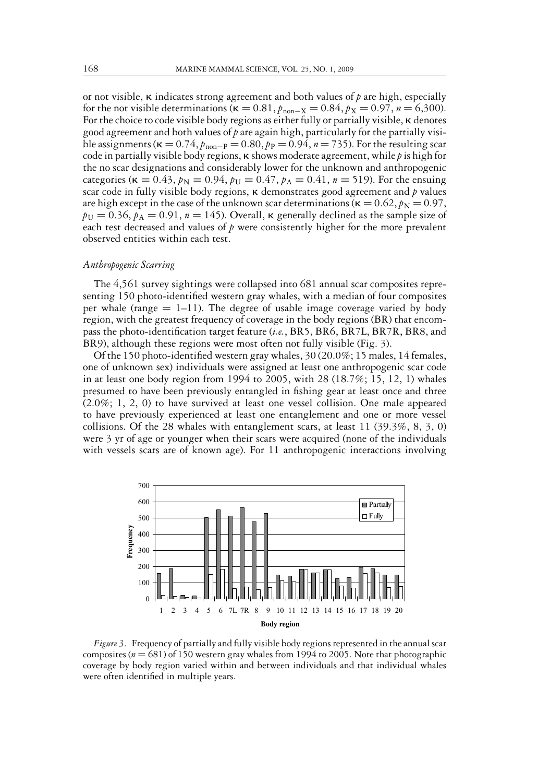or not visible,  $\kappa$  indicates strong agreement and both values of  $p$  are high, especially for the not visible determinations ( $\kappa = 0.81$ ,  $p_{\text{non-X}} = 0.84$ ,  $p_X = 0.97$ ,  $n = 6,300$ ). For the choice to code visible body regions as either fully or partially visible, **K** denotes good agreement and both values of*p*are again high, particularly for the partially visible assignments ( $\kappa = 0.74$ ,  $p_{\text{non-P}} = 0.80$ ,  $p_{\text{P}} = 0.94$ ,  $n = 735$ ). For the resulting scar code in partially visible body regions,  $\kappa$  shows moderate agreement, while  $p$  is high for the no scar designations and considerably lower for the unknown and anthropogenic categories ( $\kappa = 0.43$ ,  $p_N = 0.94$ ,  $p_U = 0.47$ ,  $p_A = 0.41$ ,  $n = 519$ ). For the ensuing scar code in fully visible body regions, **K** demonstrates good agreement and *p* values are high except in the case of the unknown scar determinations ( $\kappa = 0.62$ ,  $p<sub>N</sub> = 0.97$ ,  $p_U = 0.36$ ,  $p_A = 0.91$ ,  $n = 145$ ). Overall,  $\kappa$  generally declined as the sample size of each test decreased and values of  $p$  were consistently higher for the more prevalent observed entities within each test.

#### *Anthropogenic Scarring*

The 4,561 survey sightings were collapsed into 681 annual scar composites representing 150 photo-identified western gray whales, with a median of four composites per whale (range  $= 1-11$ ). The degree of usable image coverage varied by body region, with the greatest frequency of coverage in the body regions (BR) that encompass the photo-identification target feature (*i.e.*, BR5, BR6, BR7L, BR7R, BR8, and BR9), although these regions were most often not fully visible (Fig. 3).

Of the 150 photo-identified western gray whales, 30 (20.0%; 15 males, 14 females, one of unknown sex) individuals were assigned at least one anthropogenic scar code in at least one body region from 1994 to 2005, with 28 (18.7%; 15, 12, 1) whales presumed to have been previously entangled in fishing gear at least once and three (2.0%; 1, 2, 0) to have survived at least one vessel collision. One male appeared to have previously experienced at least one entanglement and one or more vessel collisions. Of the 28 whales with entanglement scars, at least 11 (39.3%, 8, 3, 0) were 3 yr of age or younger when their scars were acquired (none of the individuals with vessels scars are of known age). For 11 anthropogenic interactions involving



*Figure 3*. Frequency of partially and fully visible body regions represented in the annual scar composites (*n* = 681) of 150 western gray whales from 1994 to 2005. Note that photographic coverage by body region varied within and between individuals and that individual whales were often identified in multiple years.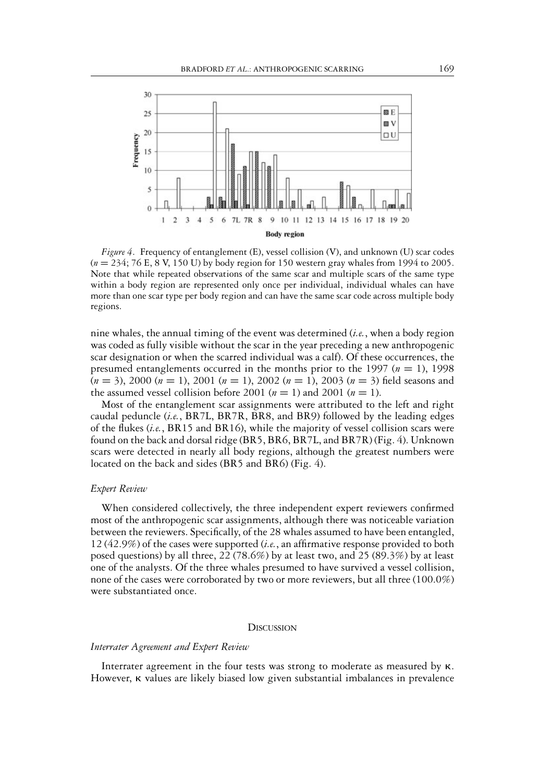

*Figure 4*. Frequency of entanglement (E), vessel collision (V), and unknown (U) scar codes (*n* = 234; 76 E, 8 V, 150 U) by body region for 150 western gray whales from 1994 to 2005. Note that while repeated observations of the same scar and multiple scars of the same type within a body region are represented only once per individual, individual whales can have more than one scar type per body region and can have the same scar code across multiple body regions.

nine whales, the annual timing of the event was determined (*i.e.*, when a body region was coded as fully visible without the scar in the year preceding a new anthropogenic scar designation or when the scarred individual was a calf). Of these occurrences, the presumed entanglements occurred in the months prior to the 1997 (*n* = 1), 1998 (*n* = 3), 2000 (*n* = 1), 2001 (*n* = 1), 2002 (*n* = 1), 2003 (*n* = 3) field seasons and the assumed vessel collision before 2001 ( $n = 1$ ) and 2001 ( $n = 1$ ).

Most of the entanglement scar assignments were attributed to the left and right caudal peduncle (*i.e.*, BR7L, BR7R, BR8, and BR9) followed by the leading edges of the flukes (*i.e.*, BR15 and BR16), while the majority of vessel collision scars were found on the back and dorsal ridge (BR5, BR6, BR7L, and BR7R) (Fig. 4). Unknown scars were detected in nearly all body regions, although the greatest numbers were located on the back and sides (BR5 and BR6) (Fig. 4).

#### *Expert Review*

When considered collectively, the three independent expert reviewers confirmed most of the anthropogenic scar assignments, although there was noticeable variation between the reviewers. Specifically, of the 28 whales assumed to have been entangled, 12 (42.9%) of the cases were supported (*i.e.*, an affirmative response provided to both posed questions) by all three, 22 (78.6%) by at least two, and 25 (89.3%) by at least one of the analysts. Of the three whales presumed to have survived a vessel collision, none of the cases were corroborated by two or more reviewers, but all three (100.0%) were substantiated once.

#### **DISCUSSION**

#### *Interrater Agreement and Expert Review*

Interrater agreement in the four tests was strong to moderate as measured by  $\kappa$ . However, **K** values are likely biased low given substantial imbalances in prevalence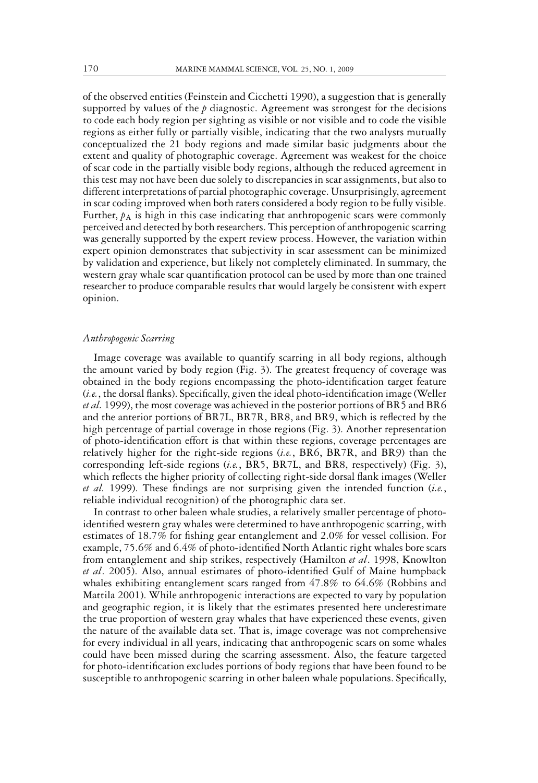of the observed entities (Feinstein and Cicchetti 1990), a suggestion that is generally supported by values of the  $p$  diagnostic. Agreement was strongest for the decisions to code each body region per sighting as visible or not visible and to code the visible regions as either fully or partially visible, indicating that the two analysts mutually conceptualized the 21 body regions and made similar basic judgments about the extent and quality of photographic coverage. Agreement was weakest for the choice of scar code in the partially visible body regions, although the reduced agreement in this test may not have been due solely to discrepancies in scar assignments, but also to different interpretations of partial photographic coverage. Unsurprisingly, agreement in scar coding improved when both raters considered a body region to be fully visible. Further,  $p_A$  is high in this case indicating that anthropogenic scars were commonly perceived and detected by both researchers. This perception of anthropogenic scarring was generally supported by the expert review process. However, the variation within expert opinion demonstrates that subjectivity in scar assessment can be minimized by validation and experience, but likely not completely eliminated. In summary, the western gray whale scar quantification protocol can be used by more than one trained researcher to produce comparable results that would largely be consistent with expert opinion.

#### *Anthropogenic Scarring*

Image coverage was available to quantify scarring in all body regions, although the amount varied by body region (Fig. 3). The greatest frequency of coverage was obtained in the body regions encompassing the photo-identification target feature (*i.e.*, the dorsal flanks). Specifically, given the ideal photo-identification image (Weller *et al.* 1999), the most coverage was achieved in the posterior portions of BR5 and BR6 and the anterior portions of BR7L, BR7R, BR8, and BR9, which is reflected by the high percentage of partial coverage in those regions (Fig. 3). Another representation of photo-identification effort is that within these regions, coverage percentages are relatively higher for the right-side regions (*i.e.*, BR6, BR7R, and BR9) than the corresponding left-side regions (*i.e.*, BR5, BR7L, and BR8, respectively) (Fig. 3), which reflects the higher priority of collecting right-side dorsal flank images (Weller *et al.* 1999). These findings are not surprising given the intended function (*i.e.*, reliable individual recognition) of the photographic data set.

In contrast to other baleen whale studies, a relatively smaller percentage of photoidentified western gray whales were determined to have anthropogenic scarring, with estimates of 18.7% for fishing gear entanglement and 2.0% for vessel collision. For example, 75.6% and 6.4% of photo-identified North Atlantic right whales bore scars from entanglement and ship strikes, respectively (Hamilton *et al*. 1998, Knowlton *et al*. 2005). Also, annual estimates of photo-identified Gulf of Maine humpback whales exhibiting entanglement scars ranged from 47.8% to 64.6% (Robbins and Mattila 2001). While anthropogenic interactions are expected to vary by population and geographic region, it is likely that the estimates presented here underestimate the true proportion of western gray whales that have experienced these events, given the nature of the available data set. That is, image coverage was not comprehensive for every individual in all years, indicating that anthropogenic scars on some whales could have been missed during the scarring assessment. Also, the feature targeted for photo-identification excludes portions of body regions that have been found to be susceptible to anthropogenic scarring in other baleen whale populations. Specifically,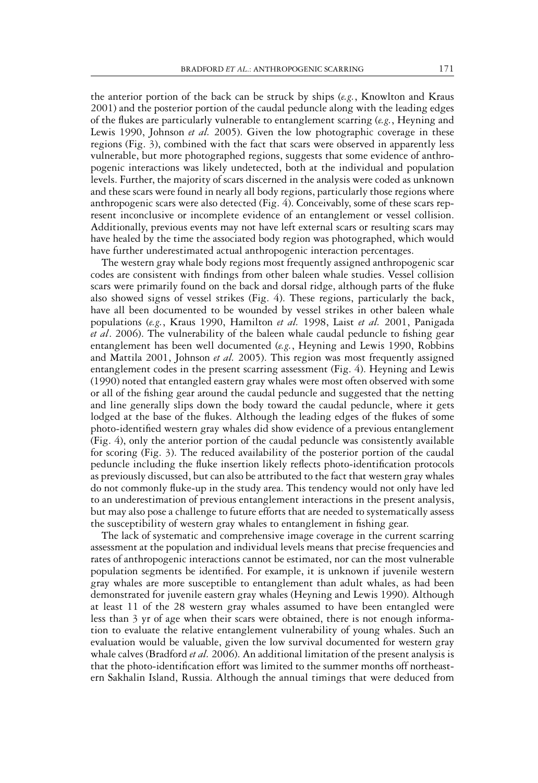the anterior portion of the back can be struck by ships (*e.g.*, Knowlton and Kraus 2001) and the posterior portion of the caudal peduncle along with the leading edges of the flukes are particularly vulnerable to entanglement scarring (*e.g.*, Heyning and Lewis 1990, Johnson *et al.* 2005). Given the low photographic coverage in these regions (Fig. 3), combined with the fact that scars were observed in apparently less vulnerable, but more photographed regions, suggests that some evidence of anthropogenic interactions was likely undetected, both at the individual and population levels. Further, the majority of scars discerned in the analysis were coded as unknown and these scars were found in nearly all body regions, particularly those regions where anthropogenic scars were also detected (Fig. 4). Conceivably, some of these scars represent inconclusive or incomplete evidence of an entanglement or vessel collision. Additionally, previous events may not have left external scars or resulting scars may have healed by the time the associated body region was photographed, which would have further underestimated actual anthropogenic interaction percentages.

The western gray whale body regions most frequently assigned anthropogenic scar codes are consistent with findings from other baleen whale studies. Vessel collision scars were primarily found on the back and dorsal ridge, although parts of the fluke also showed signs of vessel strikes (Fig. 4). These regions, particularly the back, have all been documented to be wounded by vessel strikes in other baleen whale populations (*e.g.*, Kraus 1990, Hamilton *et al.* 1998, Laist *et al.* 2001, Panigada *et al*. 2006). The vulnerability of the baleen whale caudal peduncle to fishing gear entanglement has been well documented (*e.g.*, Heyning and Lewis 1990, Robbins and Mattila 2001, Johnson *et al.* 2005). This region was most frequently assigned entanglement codes in the present scarring assessment (Fig. 4). Heyning and Lewis (1990) noted that entangled eastern gray whales were most often observed with some or all of the fishing gear around the caudal peduncle and suggested that the netting and line generally slips down the body toward the caudal peduncle, where it gets lodged at the base of the flukes. Although the leading edges of the flukes of some photo-identified western gray whales did show evidence of a previous entanglement (Fig. 4), only the anterior portion of the caudal peduncle was consistently available for scoring (Fig. 3). The reduced availability of the posterior portion of the caudal peduncle including the fluke insertion likely reflects photo-identification protocols as previously discussed, but can also be attributed to the fact that western gray whales do not commonly fluke-up in the study area. This tendency would not only have led to an underestimation of previous entanglement interactions in the present analysis, but may also pose a challenge to future efforts that are needed to systematically assess the susceptibility of western gray whales to entanglement in fishing gear.

The lack of systematic and comprehensive image coverage in the current scarring assessment at the population and individual levels means that precise frequencies and rates of anthropogenic interactions cannot be estimated, nor can the most vulnerable population segments be identified. For example, it is unknown if juvenile western gray whales are more susceptible to entanglement than adult whales, as had been demonstrated for juvenile eastern gray whales (Heyning and Lewis 1990). Although at least 11 of the 28 western gray whales assumed to have been entangled were less than 3 yr of age when their scars were obtained, there is not enough information to evaluate the relative entanglement vulnerability of young whales. Such an evaluation would be valuable, given the low survival documented for western gray whale calves (Bradford *et al.* 2006). An additional limitation of the present analysis is that the photo-identification effort was limited to the summer months off northeastern Sakhalin Island, Russia. Although the annual timings that were deduced from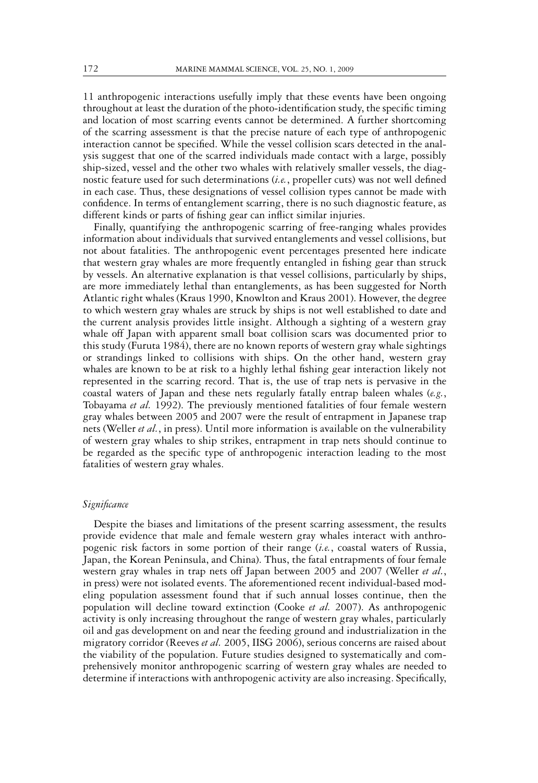11 anthropogenic interactions usefully imply that these events have been ongoing throughout at least the duration of the photo-identification study, the specific timing and location of most scarring events cannot be determined. A further shortcoming of the scarring assessment is that the precise nature of each type of anthropogenic interaction cannot be specified. While the vessel collision scars detected in the analysis suggest that one of the scarred individuals made contact with a large, possibly ship-sized, vessel and the other two whales with relatively smaller vessels, the diagnostic feature used for such determinations (*i.e.*, propeller cuts) was not well defined in each case. Thus, these designations of vessel collision types cannot be made with confidence. In terms of entanglement scarring, there is no such diagnostic feature, as different kinds or parts of fishing gear can inflict similar injuries.

Finally, quantifying the anthropogenic scarring of free-ranging whales provides information about individuals that survived entanglements and vessel collisions, but not about fatalities. The anthropogenic event percentages presented here indicate that western gray whales are more frequently entangled in fishing gear than struck by vessels. An alternative explanation is that vessel collisions, particularly by ships, are more immediately lethal than entanglements, as has been suggested for North Atlantic right whales (Kraus 1990, Knowlton and Kraus 2001). However, the degree to which western gray whales are struck by ships is not well established to date and the current analysis provides little insight. Although a sighting of a western gray whale off Japan with apparent small boat collision scars was documented prior to this study (Furuta 1984), there are no known reports of western gray whale sightings or strandings linked to collisions with ships. On the other hand, western gray whales are known to be at risk to a highly lethal fishing gear interaction likely not represented in the scarring record. That is, the use of trap nets is pervasive in the coastal waters of Japan and these nets regularly fatally entrap baleen whales (*e.g.*, Tobayama *et al.* 1992). The previously mentioned fatalities of four female western gray whales between 2005 and 2007 were the result of entrapment in Japanese trap nets (Weller *et al.*, in press). Until more information is available on the vulnerability of western gray whales to ship strikes, entrapment in trap nets should continue to be regarded as the specific type of anthropogenic interaction leading to the most fatalities of western gray whales.

#### *Significance*

Despite the biases and limitations of the present scarring assessment, the results provide evidence that male and female western gray whales interact with anthropogenic risk factors in some portion of their range (*i.e.*, coastal waters of Russia, Japan, the Korean Peninsula, and China). Thus, the fatal entrapments of four female western gray whales in trap nets off Japan between 2005 and 2007 (Weller *et al.*, in press) were not isolated events. The aforementioned recent individual-based modeling population assessment found that if such annual losses continue, then the population will decline toward extinction (Cooke *et al.* 2007). As anthropogenic activity is only increasing throughout the range of western gray whales, particularly oil and gas development on and near the feeding ground and industrialization in the migratory corridor (Reeves *et al.* 2005, IISG 2006), serious concerns are raised about the viability of the population. Future studies designed to systematically and comprehensively monitor anthropogenic scarring of western gray whales are needed to determine if interactions with anthropogenic activity are also increasing. Specifically,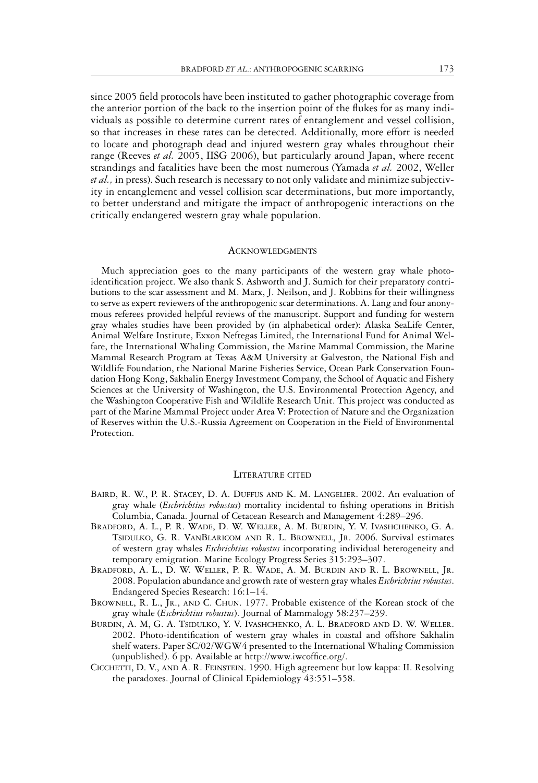since 2005 field protocols have been instituted to gather photographic coverage from the anterior portion of the back to the insertion point of the flukes for as many individuals as possible to determine current rates of entanglement and vessel collision, so that increases in these rates can be detected. Additionally, more effort is needed to locate and photograph dead and injured western gray whales throughout their range (Reeves *et al.* 2005, IISG 2006), but particularly around Japan, where recent strandings and fatalities have been the most numerous (Yamada *et al.* 2002, Weller *et al.,* in press). Such research is necessary to not only validate and minimize subjectivity in entanglement and vessel collision scar determinations, but more importantly, to better understand and mitigate the impact of anthropogenic interactions on the critically endangered western gray whale population.

#### ACKNOWLEDGMENTS

Much appreciation goes to the many participants of the western gray whale photoidentification project. We also thank S. Ashworth and J. Sumich for their preparatory contributions to the scar assessment and M. Marx, J. Neilson, and J. Robbins for their willingness to serve as expert reviewers of the anthropogenic scar determinations. A. Lang and four anonymous referees provided helpful reviews of the manuscript. Support and funding for western gray whales studies have been provided by (in alphabetical order): Alaska SeaLife Center, Animal Welfare Institute, Exxon Neftegas Limited, the International Fund for Animal Welfare, the International Whaling Commission, the Marine Mammal Commission, the Marine Mammal Research Program at Texas A&M University at Galveston, the National Fish and Wildlife Foundation, the National Marine Fisheries Service, Ocean Park Conservation Foundation Hong Kong, Sakhalin Energy Investment Company, the School of Aquatic and Fishery Sciences at the University of Washington, the U.S. Environmental Protection Agency, and the Washington Cooperative Fish and Wildlife Research Unit. This project was conducted as part of the Marine Mammal Project under Area V: Protection of Nature and the Organization of Reserves within the U.S.-Russia Agreement on Cooperation in the Field of Environmental Protection.

#### LITERATURE CITED

- BAIRD, R. W., P. R. STACEY, D. A. DUFFUS AND K. M. LANGELIER. 2002. An evaluation of gray whale (*Eschrichtius robustus*) mortality incidental to fishing operations in British Columbia, Canada. Journal of Cetacean Research and Management 4:289–296.
- BRADFORD, A. L., P. R. WADE, D. W. WELLER, A. M. BURDIN, Y. V. IVASHCHENKO, G. A. TSIDULKO, G. R. VANBLARICOM AND R. L. BROWNELL, JR. 2006. Survival estimates of western gray whales *Eschrichtius robustus* incorporating individual heterogeneity and temporary emigration. Marine Ecology Progress Series 315:293–307.
- BRADFORD, A. L., D. W. WELLER, P. R. WADE, A. M. BURDIN AND R. L. BROWNELL, JR. 2008. Population abundance and growth rate of western gray whales *Eschrichtius robustus*. Endangered Species Research: 16:1–14.
- BROWNELL, R. L., JR., AND C. CHUN. 1977. Probable existence of the Korean stock of the gray whale (*Eschrichtius robustus*). Journal of Mammalogy 58:237–239.
- BURDIN, A. M, G. A. TSIDULKO, Y. V. IVASHCHENKO, A. L. BRADFORD AND D. W. WELLER. 2002. Photo-identification of western gray whales in coastal and offshore Sakhalin shelf waters. Paper SC/02/WGW4 presented to the International Whaling Commission (unpublished). 6 pp. Available at http://www.iwcoffice.org/.
- CICCHETTI, D. V., AND A. R. FEINSTEIN. 1990. High agreement but low kappa: II. Resolving the paradoxes. Journal of Clinical Epidemiology 43:551–558.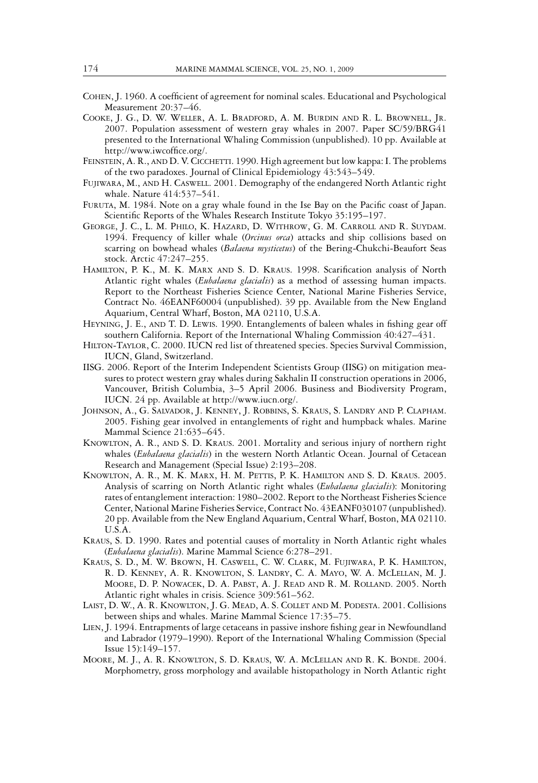- COHEN, J. 1960. A coefficient of agreement for nominal scales. Educational and Psychological Measurement 20:37–46.
- COOKE, J. G., D. W. WELLER, A. L. BRADFORD, A. M. BURDIN AND R. L. BROWNELL, JR. 2007. Population assessment of western gray whales in 2007. Paper SC/59/BRG41 presented to the International Whaling Commission (unpublished). 10 pp. Available at http://www.iwcoffice.org/.
- FEINSTEIN, A. R., AND D. V. CICCHETTI. 1990. High agreement but low kappa: I. The problems of the two paradoxes. Journal of Clinical Epidemiology 43:543–549.
- FUJIWARA, M., AND H. CASWELL. 2001. Demography of the endangered North Atlantic right whale. Nature 414:537–541.
- FURUTA, M. 1984. Note on a gray whale found in the Ise Bay on the Pacific coast of Japan. Scientific Reports of the Whales Research Institute Tokyo 35:195–197.
- GEORGE, J. C., L. M. PHILO, K. HAZARD, D. WITHROW, G. M. CARROLL AND R. SUYDAM. 1994. Frequency of killer whale (*Orcinus orca*) attacks and ship collisions based on scarring on bowhead whales (*Balaena mysticetus*) of the Bering-Chukchi-Beaufort Seas stock. Arctic 47:247–255.
- HAMILTON, P. K., M. K. MARX AND S. D. KRAUS. 1998. Scarification analysis of North Atlantic right whales (*Eubalaena glacialis*) as a method of assessing human impacts. Report to the Northeast Fisheries Science Center, National Marine Fisheries Service, Contract No. 46EANF60004 (unpublished). 39 pp. Available from the New England Aquarium, Central Wharf, Boston, MA 02110, U.S.A.
- HEYNING, J. E., AND T. D. LEWIS. 1990. Entanglements of baleen whales in fishing gear off southern California. Report of the International Whaling Commission 40:427–431.
- HILTON-TAYLOR, C. 2000. IUCN red list of threatened species. Species Survival Commission, IUCN, Gland, Switzerland.
- IISG. 2006. Report of the Interim Independent Scientists Group (IISG) on mitigation measures to protect western gray whales during Sakhalin II construction operations in 2006, Vancouver, British Columbia, 3–5 April 2006. Business and Biodiversity Program, IUCN. 24 pp. Available at http://www.iucn.org/.
- JOHNSON, A., G. SALVADOR, J. KENNEY, J. ROBBINS, S. KRAUS, S. LANDRY AND P. CLAPHAM. 2005. Fishing gear involved in entanglements of right and humpback whales. Marine Mammal Science 21:635–645.
- KNOWLTON, A. R., AND S. D. KRAUS. 2001. Mortality and serious injury of northern right whales (*Eubalaena glacialis*) in the western North Atlantic Ocean. Journal of Cetacean Research and Management (Special Issue) 2:193–208.
- KNOWLTON, A. R., M. K. MARX, H. M. PETTIS, P. K. HAMILTON AND S. D. KRAUS. 2005. Analysis of scarring on North Atlantic right whales (*Eubalaena glacialis*): Monitoring rates of entanglement interaction: 1980–2002. Report to the Northeast Fisheries Science Center, National Marine Fisheries Service, Contract No. 43EANF030107 (unpublished). 20 pp. Available from the New England Aquarium, Central Wharf, Boston, MA 02110. U.S.A.
- KRAUS, S. D. 1990. Rates and potential causes of mortality in North Atlantic right whales (*Eubalaena glacialis*). Marine Mammal Science 6:278–291.
- KRAUS, S. D., M. W. BROWN, H. CASWELL, C. W. CLARK, M. FUJIWARA, P. K. HAMILTON, R. D. KENNEY, A. R. KNOWLTON, S. LANDRY, C. A. MAYO, W. A. MCLELLAN, M. J. MOORE, D. P. NOWACEK, D. A. PABST, A. J. READ AND R. M. ROLLAND. 2005. North Atlantic right whales in crisis. Science 309:561–562.
- LAIST, D. W., A. R. KNOWLTON, J. G. MEAD, A. S. COLLET AND M. PODESTA. 2001. Collisions between ships and whales. Marine Mammal Science 17:35–75.
- LIEN, J. 1994. Entrapments of large cetaceans in passive inshore fishing gear in Newfoundland and Labrador (1979–1990). Report of the International Whaling Commission (Special Issue 15):149–157.
- MOORE, M. J., A. R. KNOWLTON, S. D. KRAUS, W. A. MCLELLAN AND R. K. BONDE. 2004. Morphometry, gross morphology and available histopathology in North Atlantic right